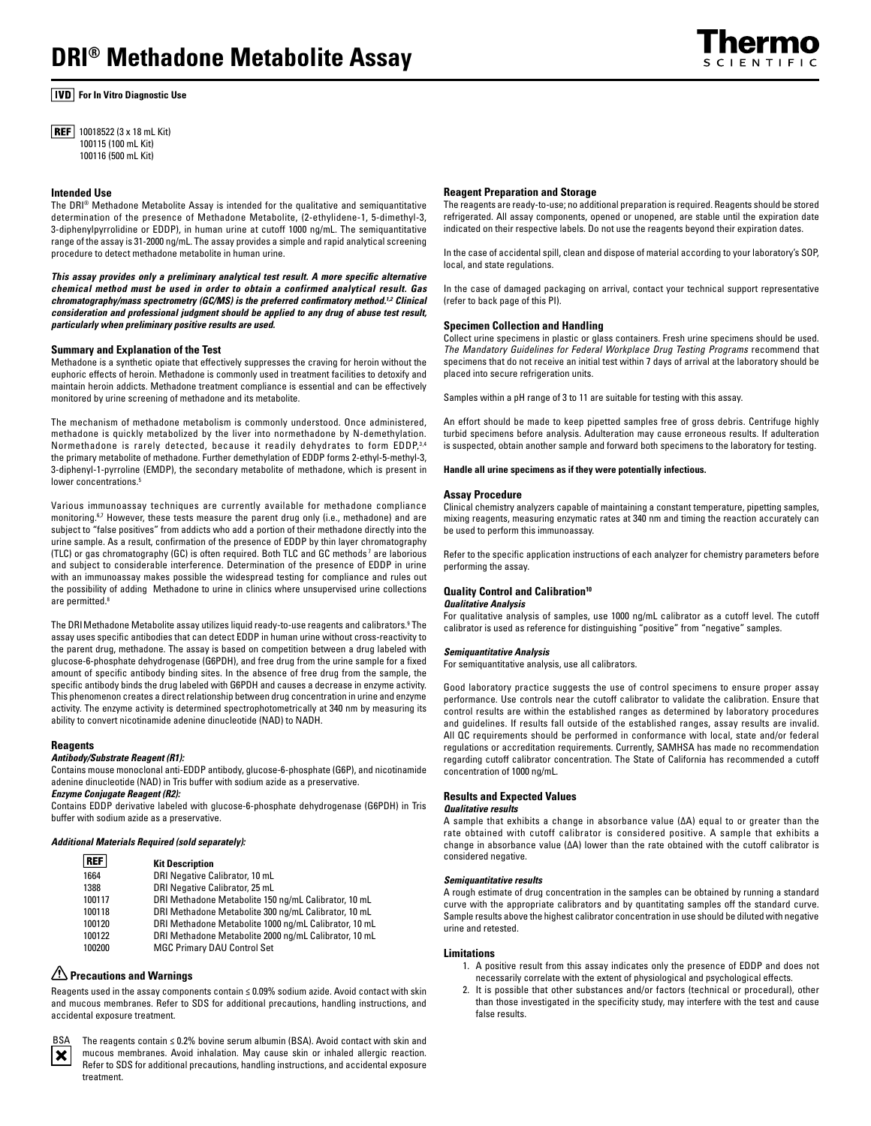

**For In Vitro Diagnostic Use** 

**REF** 10018522 (3 x 18 mL Kit) 100115 (100 mL Kit) 100116 (500 mL Kit)

### **Intended Use**

The DRI® Methadone Metabolite Assay is intended for the qualitative and semiquantitative determination of the presence of Methadone Metabolite, (2-ethylidene-1, 5-dimethyl-3, 3-diphenylpyrrolidine or EDDP), in human urine at cutoff 1000 ng/mL. The semiquantitative range of the assay is 31-2000 ng/mL. The assay provides a simple and rapid analytical screening procedure to detect methadone metabolite in human urine.

*This assay provides only a preliminary analytical test result. A more specific alternative chemical method must be used in order to obtain a confirmed analytical result. Gas chromatography/mass spectrometry (GC/MS) is the preferred confirmatory method.1,2 Clinical consideration and professional judgment should be applied to any drug of abuse test result, particularly when preliminary positive results are used.*

## **Summary and Explanation of the Test**

Methadone is a synthetic opiate that effectively suppresses the craving for heroin without the euphoric effects of heroin. Methadone is commonly used in treatment facilities to detoxify and maintain heroin addicts. Methadone treatment compliance is essential and can be effectively monitored by urine screening of methadone and its metabolite.

The mechanism of methadone metabolism is commonly understood. Once administered, methadone is quickly metabolized by the liver into normethadone by N-demethylation. Normethadone is rarely detected, because it readily dehydrates to form EDDP, 3,4 the primary metabolite of methadone. Further demethylation of EDDP forms 2-ethyl-5-methyl-3, 3-diphenyl-1-pyrroline (EMDP), the secondary metabolite of methadone, which is present in lower concentrations<sup>5</sup>

Various immunoassay techniques are currently available for methadone compliance monitoring.<sup>6,7</sup> However, these tests measure the parent drug only (i.e., methadone) and are subject to "false positives" from addicts who add a portion of their methadone directly into the urine sample. As a result, confirmation of the presence of EDDP by thin layer chromatography (TLC) or gas chromatography (GC) is often required. Both TLC and GC methods<sup>7</sup> are laborious and subject to considerable interference. Determination of the presence of EDDP in urine with an immunoassay makes possible the widespread testing for compliance and rules out the possibility of adding Methadone to urine in clinics where unsupervised urine collections are permitted.8

The DRIMethadone Metabolite assay utilizes liquid ready-to-use reagents and calibrators.9 The assay uses specific antibodies that can detect EDDP in human urine without cross-reactivity to the parent drug, methadone. The assay is based on competition between a drug labeled with glucose-6-phosphate dehydrogenase (G6PDH), and free drug from the urine sample for a fixed amount of specific antibody binding sites. In the absence of free drug from the sample, the specific antibody binds the drug labeled with G6PDH and causes a decrease in enzyme activity. This phenomenon creates a direct relationship between drug concentration in urine and enzyme activity. The enzyme activity is determined spectrophotometrically at 340 nm by measuring its ability to convert nicotinamide adenine dinucleotide (NAD) to NADH.

### **Reagents**

## *Antibody/Substrate Reagent (R1):*

Contains mouse monoclonal anti-EDDP antibody, glucose-6-phosphate (G6P), and nicotinamide adenine dinucleotide (NAD) in Tris buffer with sodium azide as a preservative.

*Enzyme Conjugate Reagent (R2):*  Contains EDDP derivative labeled with glucose-6-phosphate dehydrogenase (G6PDH) in Tris buffer with sodium azide as a preservative.

### *Additional Materials Required (sold separately):*

| <b>REF</b> | <b>Kit Description</b>                                |
|------------|-------------------------------------------------------|
| 1664       | DRI Negative Calibrator, 10 mL                        |
| 1388       | DRI Negative Calibrator, 25 mL                        |
| 100117     | DRI Methadone Metabolite 150 ng/mL Calibrator, 10 mL  |
| 100118     | DRI Methadone Metabolite 300 ng/mL Calibrator, 10 mL  |
| 100120     | DRI Methadone Metabolite 1000 ng/mL Calibrator, 10 mL |
| 100122     | DRI Methadone Metabolite 2000 ng/mL Calibrator, 10 mL |
| 100200     | <b>MGC Primary DAU Control Set</b>                    |

# **Precautions and Warnings**

Reagents used in the assay components contain **≤** 0.09% sodium azide. Avoid contact with skin and mucous membranes. Refer to SDS for additional precautions, handling instructions, and accidental exposure treatment.



The reagents contain **≤** 0.2% bovine serum albumin (BSA). Avoid contact with skin and mucous membranes. Avoid inhalation. May cause skin or inhaled allergic reaction. Refer to SDS for additional precautions, handling instructions, and accidental exposure treatment.

#### **Reagent Preparation and Storage**

The reagents are ready-to-use; no additional preparation is required. Reagents should be stored refrigerated. All assay components, opened or unopened, are stable until the expiration date indicated on their respective labels. Do not use the reagents beyond their expiration dates.

In the case of accidental spill, clean and dispose of material according to your laboratory's SOP, local, and state regulations.

In the case of damaged packaging on arrival, contact your technical support representative (refer to back page of this PI).

## **Specimen Collection and Handling**

Collect urine specimens in plastic or glass containers. Fresh urine specimens should be used. *The Mandatory Guidelines for Federal Workplace Drug Testing Programs* recommend that specimens that do not receive an initial test within 7 days of arrival at the laboratory should be placed into secure refrigeration units.

Samples within a pH range of 3 to 11 are suitable for testing with this assay.

An effort should be made to keep pipetted samples free of gross debris. Centrifuge highly turbid specimens before analysis. Adulteration may cause erroneous results. If adulteration is suspected, obtain another sample and forward both specimens to the laboratory for testing.

### **Handle all urine specimens as if they were potentially infectious.**

### **Assay Procedure**

Clinical chemistry analyzers capable of maintaining a constant temperature, pipetting samples, mixing reagents, measuring enzymatic rates at 340 nm and timing the reaction accurately can be used to perform this immunoassay.

Refer to the specific application instructions of each analyzer for chemistry parameters before performing the assay.

### **Quality Control and Calibration10**

### *Qualitative Analysis*

For qualitative analysis of samples, use 1000 ng/mL calibrator as a cutoff level. The cutoff calibrator is used as reference for distinguishing "positive" from "negative" samples.

#### *Semiquantitative Analysis*

For semiquantitative analysis, use all calibrators.

Good laboratory practice suggests the use of control specimens to ensure proper assay performance. Use controls near the cutoff calibrator to validate the calibration. Ensure that control results are within the established ranges as determined by laboratory procedures and guidelines. If results fall outside of the established ranges, assay results are invalid. All QC requirements should be performed in conformance with local, state and/or federal regulations or accreditation requirements. Currently, SAMHSA has made no recommendation regarding cutoff calibrator concentration. The State of California has recommended a cutoff concentration of 1000 ng/mL.

### **Results and Expected Values**

#### *Qualitative results*

A sample that exhibits a change in absorbance value (∆A) equal to or greater than the rate obtained with cutoff calibrator is considered positive. A sample that exhibits a change in absorbance value (∆A) lower than the rate obtained with the cutoff calibrator is considered negative.

### *Semiquantitative results*

A rough estimate of drug concentration in the samples can be obtained by running a standard curve with the appropriate calibrators and by quantitating samples off the standard curve. Sample results above the highest calibrator concentration in use should be diluted with negative urine and retested.

### **Limitations**

- 1. A positive result from this assay indicates only the presence of EDDP and does not necessarily correlate with the extent of physiological and psychological effects.
- 2. It is possible that other substances and/or factors (technical or procedural), other than those investigated in the specificity study, may interfere with the test and cause false results.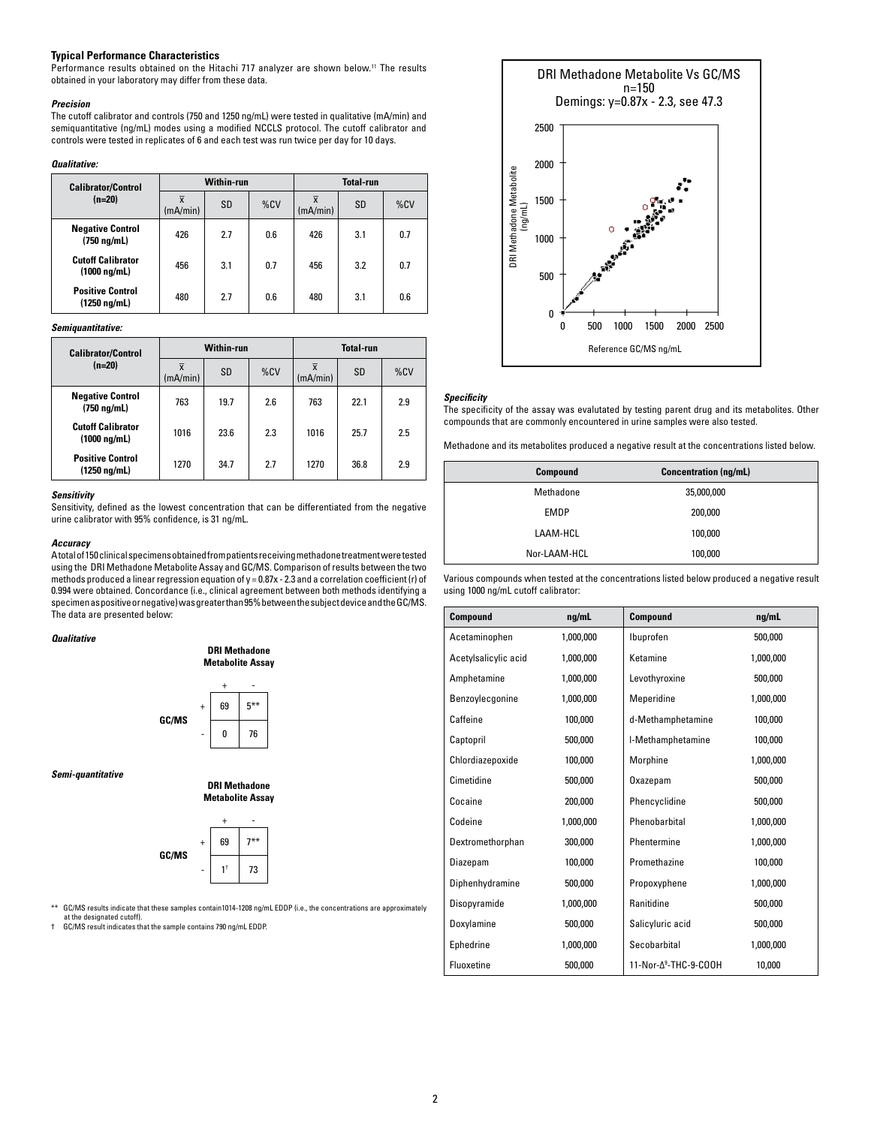## **Typical Performance Characteristics**

Performance results obtained on the Hitachi 717 analyzer are shown below.<sup>11</sup> The results obtained in your laboratory may differ from these data.

#### *Precision*

The cutoff calibrator and controls (750 and 1250 ng/mL) were tested in qualitative (mA/min) and semiquantitative (ng/mL) modes using a modified NCCLS protocol. The cutoff calibrator and controls were tested in replicates of 6 and each test was run twice per day for 10 days.

#### *Qualitative:*

| <b>Calibrator/Control</b>                        | Within-run                 |           |     | <b>Total-run</b> |     |     |
|--------------------------------------------------|----------------------------|-----------|-----|------------------|-----|-----|
| $(n=20)$                                         | $\overline{x}$<br>(mA/min) | <b>SD</b> | %CV | (mA/min)         | SD  | %CV |
| <b>Negative Control</b><br>$(750 \text{ ng/mL})$ | 426                        | 2.7       | 0.6 | 426              | 3.1 | 0.7 |
| <b>Cutoff Calibrator</b><br>$(1000 \ nq/mL)$     | 456                        | 3.1       | 0.7 | 456              | 3.2 | 0.7 |
| <b>Positive Control</b><br>(1250 ng/mL)          | 480                        | 2.7       | 0.6 | 480              | 3.1 | 0.6 |

*Semiquantitative:*

|  | <b>Calibrator/Control</b><br>$(n=20)$            | Within-run |           |     | <b>Total-run</b> |      |     |
|--|--------------------------------------------------|------------|-----------|-----|------------------|------|-----|
|  |                                                  | (mA/min)   | <b>SD</b> | %CV | (mA/min)         | SD   | %CV |
|  | <b>Negative Control</b><br>$(750 \text{ ng/mL})$ | 763        | 19.7      | 2.6 | 763              | 22.1 | 2.9 |
|  | <b>Cutoff Calibrator</b><br>$(1000 \ nq/mL)$     | 1016       | 23.6      | 2.3 | 1016             | 25.7 | 2.5 |
|  | <b>Positive Control</b><br>(1250 ng/mL)          | 1270       | 34.7      | 2.7 | 1270             | 36.8 | 2.9 |

## *Sensitivity*

Sensitivity, defined as the lowest concentration that can be differentiated from the negative urine calibrator with 95% confidence, is 31 ng/mL.

## *Accuracy*

A total of 150 clinical specimens obtained from patients receiving methadone treatment were tested using the DRI Methadone Metabolite Assay and GC/MS. Comparison of results between the two methods produced a linear regression equation of y = 0.87x - 2.3 and a correlation coefficient (r) of 0.994 were obtained. Concordance (i.e., clinical agreement between both methods identifying a specimen as positive or negative) was greater than 95% between the subject device and the GC/MS. The data are presented below:

### *Qualitative*





*Semi-quantitative*

**DRI Methadone Metabolite Assay**



GC/MS results indicate that these samples contain1014-1208 ng/mL EDDP (i.e., the concentrations are approximately at the designated cutoff).

† GC/MS result indicates that the sample contains 790 ng/mL EDDP.



### *Specificity*

The specificity of the assay was evalutated by testing parent drug and its metabolites. Other compounds that are commonly encountered in urine samples were also tested.

Methadone and its metabolites produced a negative result at the concentrations listed below.

| Compound     | <b>Concentration (ng/mL)</b> |  |
|--------------|------------------------------|--|
| Methadone    | 35,000,000                   |  |
| <b>EMDP</b>  | 200,000                      |  |
| LAAM-HCL     | 100,000                      |  |
| Nor-LAAM-HCL | 100,000                      |  |

Various compounds when tested at the concentrations listed below produced a negative result using 1000 ng/mL cutoff calibrator:

| Compound             | nq/mL     | <b>Compound</b>                   | nq/mL     |
|----------------------|-----------|-----------------------------------|-----------|
| Acetaminophen        | 1,000,000 | Ibuprofen                         | 500,000   |
| Acetylsalicylic acid | 1,000,000 | Ketamine                          | 1,000,000 |
| Amphetamine          | 1,000,000 | Levothyroxine                     | 500,000   |
| Benzoylecgonine      | 1,000,000 | Meperidine                        | 1,000,000 |
| Caffeine             | 100,000   | d-Methamphetamine                 | 100,000   |
| Captopril            | 500,000   | I-Methamphetamine                 | 100,000   |
| Chlordiazepoxide     | 100.000   | Morphine                          | 1,000,000 |
| Cimetidine           | 500,000   | Oxazepam                          | 500,000   |
| Cocaine              | 200,000   | Phencyclidine                     | 500.000   |
| Codeine              | 1,000,000 | Phenobarbital                     | 1,000,000 |
| Dextromethorphan     | 300,000   | Phentermine                       | 1,000,000 |
| Diazepam             | 100,000   | Promethazine                      | 100,000   |
| Diphenhydramine      | 500,000   | Propoxyphene                      | 1,000,000 |
| Disopyramide         | 1,000,000 | Ranitidine                        | 500,000   |
| Doxylamine           | 500,000   | Salicyluric acid                  | 500,000   |
| Ephedrine            | 1,000,000 | Secobarbital                      | 1,000,000 |
| Fluoxetine           | 500,000   | 11-Nor-A <sup>9</sup> -THC-9-COOH | 10,000    |